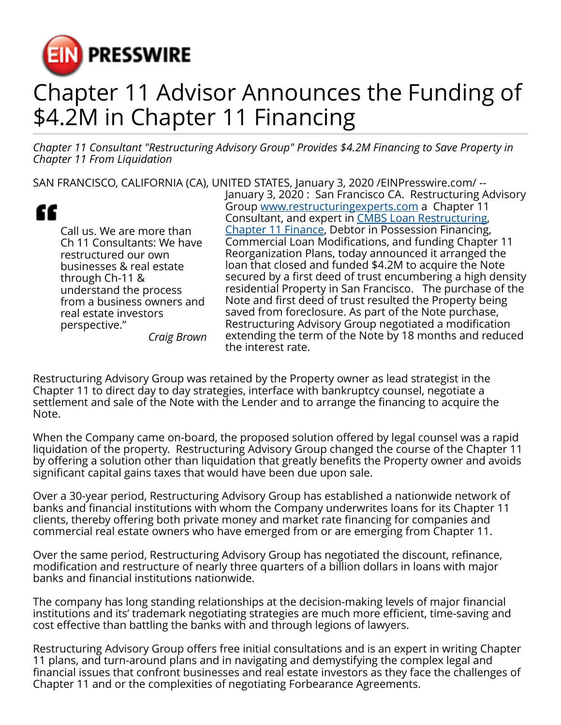

## Chapter 11 Advisor Announces the Funding of \$4.2M in Chapter 11 Financing

*Chapter 11 Consultant "Restructuring Advisory Group" Provides \$4.2M Financing to Save Property in Chapter 11 From Liquidation*

SAN FRANCISCO, CALIFORNIA (CA), UNITED STATES, January 3, 2020 /[EINPresswire.com/](http://www.einpresswire.com) --



Call us. We are more than Ch 11 Consultants: We have restructured our own businesses & real estate through Ch-11 & understand the process from a business owners and real estate investors perspective."

January 3, 2020 : San Francisco CA. Restructuring Advisory Group [www.restructuringexperts.com](http://www.restructuringexperts.com) a Chapter 11 Consultant, and expert in [CMBS Loan Restructuring,](http://restructuringexperts.com/cmbs-loan-restructures/) [Chapter 11 Finance,](http://restructuringexperts.com/refinancings/) Debtor in Possession Financing, Commercial Loan Modifications, and funding Chapter 11 Reorganization Plans, today announced it arranged the loan that closed and funded \$4.2M to acquire the Note secured by a first deed of trust encumbering a high density residential Property in San Francisco. The purchase of the Note and first deed of trust resulted the Property being saved from foreclosure. As part of the Note purchase, Restructuring Advisory Group negotiated a modification extending the term of the Note by 18 months and reduced the interest rate.

*Craig Brown*

Restructuring Advisory Group was retained by the Property owner as lead strategist in the Chapter 11 to direct day to day strategies, interface with bankruptcy counsel, negotiate a settlement and sale of the Note with the Lender and to arrange the financing to acquire the Note.

When the Company came on-board, the proposed solution offered by legal counsel was a rapid liquidation of the property. Restructuring Advisory Group changed the course of the Chapter 11 by offering a solution other than liquidation that greatly benefits the Property owner and avoids significant capital gains taxes that would have been due upon sale.

Over a 30-year period, Restructuring Advisory Group has established a nationwide network of banks and financial institutions with whom the Company underwrites loans for its Chapter 11 clients, thereby offering both private money and market rate financing for companies and commercial real estate owners who have emerged from or are emerging from Chapter 11.

Over the same period, Restructuring Advisory Group has negotiated the discount, refinance, modification and restructure of nearly three quarters of a billion dollars in loans with major banks and financial institutions nationwide.

The company has long standing relationships at the decision-making levels of major financial institutions and its' trademark negotiating strategies are much more efficient, time-saving and cost effective than battling the banks with and through legions of lawyers.

Restructuring Advisory Group offers free initial consultations and is an expert in writing Chapter 11 plans, and turn-around plans and in navigating and demystifying the complex legal and financial issues that confront businesses and real estate investors as they face the challenges of Chapter 11 and or the complexities of negotiating Forbearance Agreements.